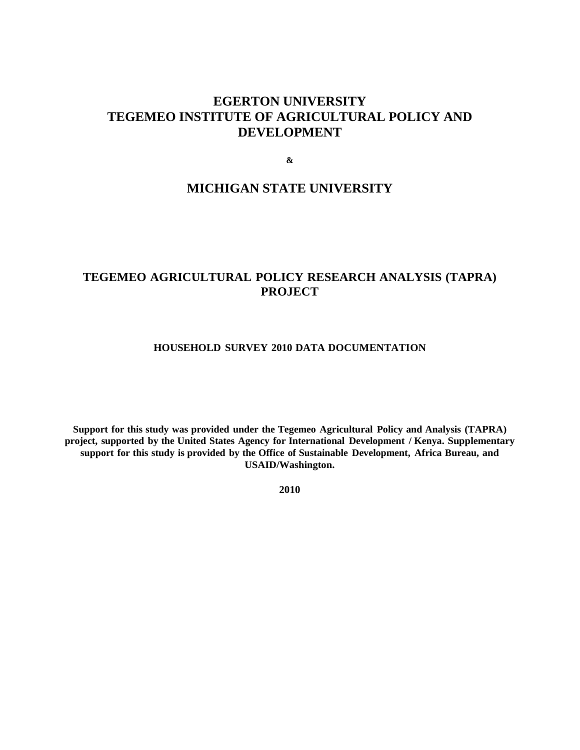# **EGERTON UNIVERSITY TEGEMEO INSTITUTE OF AGRICULTURAL POLICY AND DEVELOPMENT**

**&**

# **MICHIGAN STATE UNIVERSITY**

# **TEGEMEO AGRICULTURAL POLICY RESEARCH ANALYSIS (TAPRA) PROJECT**

#### **HOUSEHOLD SURVEY 2010 DATA DOCUMENTATION**

**Support for this study was provided under the Tegemeo Agricultural Policy and Analysis (TAPRA) project, supported by the United States Agency for International Development / Kenya. Supplementary support for this study is provided by the Office of Sustainable Development, Africa Bureau, and USAID/Washington.**

**2010**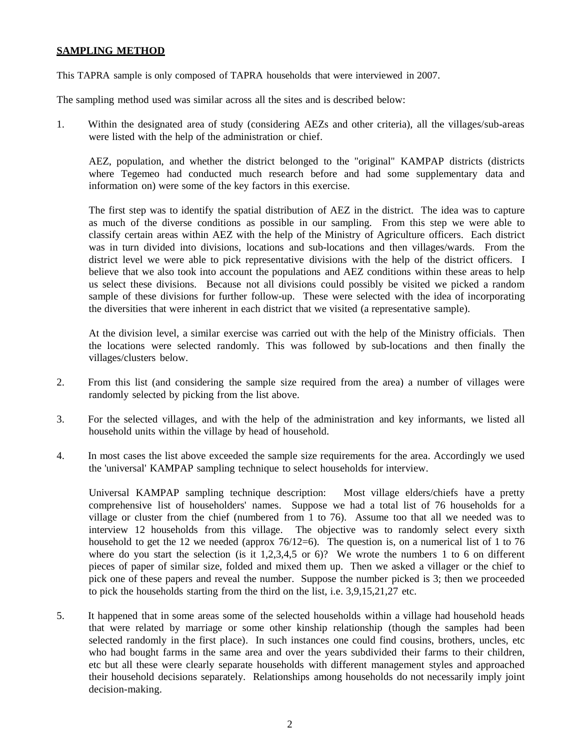### **SAMPLING METHOD**

This TAPRA sample is only composed of TAPRA households that were interviewed in 2007.

The sampling method used was similar across all the sites and is described below:

1. Within the designated area of study (considering AEZs and other criteria), all the villages/sub-areas were listed with the help of the administration or chief.

AEZ, population, and whether the district belonged to the "original" KAMPAP districts (districts where Tegemeo had conducted much research before and had some supplementary data and information on) were some of the key factors in this exercise.

The first step was to identify the spatial distribution of AEZ in the district. The idea was to capture as much of the diverse conditions as possible in our sampling. From this step we were able to classify certain areas within AEZ with the help of the Ministry of Agriculture officers. Each district was in turn divided into divisions, locations and sub-locations and then villages/wards. From the district level we were able to pick representative divisions with the help of the district officers. I believe that we also took into account the populations and AEZ conditions within these areas to help us select these divisions. Because not all divisions could possibly be visited we picked a random sample of these divisions for further follow-up. These were selected with the idea of incorporating the diversities that were inherent in each district that we visited (a representative sample).

At the division level, a similar exercise was carried out with the help of the Ministry officials. Then the locations were selected randomly. This was followed by sub-locations and then finally the villages/clusters below.

- 2. From this list (and considering the sample size required from the area) a number of villages were randomly selected by picking from the list above.
- 3. For the selected villages, and with the help of the administration and key informants, we listed all household units within the village by head of household.
- 4. In most cases the list above exceeded the sample size requirements for the area. Accordingly we used the 'universal' KAMPAP sampling technique to select households for interview.

Universal KAMPAP sampling technique description: Most village elders/chiefs have a pretty comprehensive list of householders' names. Suppose we had a total list of 76 households for a village or cluster from the chief (numbered from 1 to 76). Assume too that all we needed was to interview 12 households from this village. The objective was to randomly select every sixth household to get the 12 we needed (approx  $76/12=6$ ). The question is, on a numerical list of 1 to 76 where do you start the selection (is it 1,2,3,4,5 or 6)? We wrote the numbers 1 to 6 on different pieces of paper of similar size, folded and mixed them up. Then we asked a villager or the chief to pick one of these papers and reveal the number. Suppose the number picked is 3; then we proceeded to pick the households starting from the third on the list, i.e. 3,9,15,21,27 etc.

5. It happened that in some areas some of the selected households within a village had household heads that were related by marriage or some other kinship relationship (though the samples had been selected randomly in the first place). In such instances one could find cousins, brothers, uncles, etc who had bought farms in the same area and over the years subdivided their farms to their children, etc but all these were clearly separate households with different management styles and approached their household decisions separately. Relationships among households do not necessarily imply joint decision-making.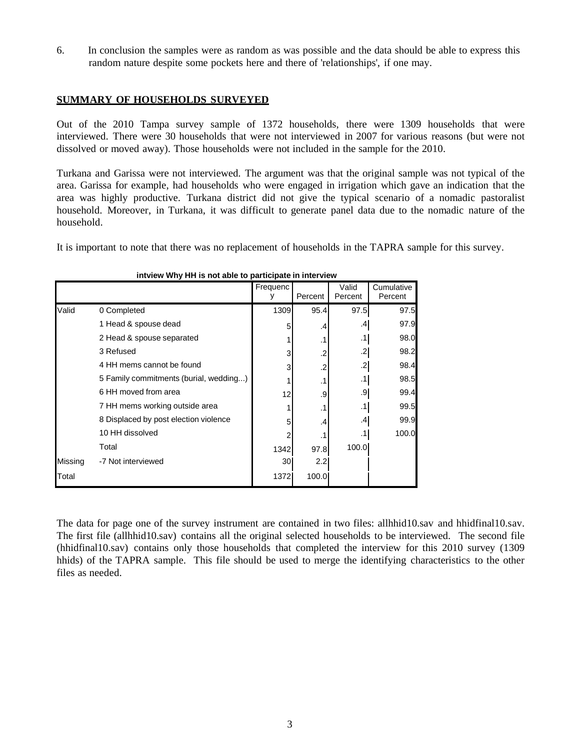6. In conclusion the samples were as random as was possible and the data should be able to express this random nature despite some pockets here and there of 'relationships', if one may.

### **SUMMARY OF HOUSEHOLDS SURVEYED**

Out of the 2010 Tampa survey sample of 1372 households, there were 1309 households that were interviewed. There were 30 households that were not interviewed in 2007 for various reasons (but were not dissolved or moved away). Those households were not included in the sample for the 2010.

Turkana and Garissa were not interviewed. The argument was that the original sample was not typical of the area. Garissa for example, had households who were engaged in irrigation which gave an indication that the area was highly productive. Turkana district did not give the typical scenario of a nomadic pastoralist household. Moreover, in Turkana, it was difficult to generate panel data due to the nomadic nature of the household.

It is important to note that there was no replacement of households in the TAPRA sample for this survey.

|         |                                        | Frequenc | Percent   | Valid<br>Percent | Cumulative<br>Percent |
|---------|----------------------------------------|----------|-----------|------------------|-----------------------|
| Valid   | 0 Completed                            | 1309     | 95.4      | 97.5             | 97.5                  |
|         | 1 Head & spouse dead                   | 5        | .4        | .4               | 97.9                  |
|         | 2 Head & spouse separated              |          | $\cdot$ 1 | .1               | 98.0                  |
|         | 3 Refused                              | 3        | .2        | $\mathbf{.2}$    | 98.2                  |
|         | 4 HH mems cannot be found              | 3        | .2        | $\mathbf{.2}$    | 98.4                  |
|         | 5 Family commitments (burial, wedding) |          | $\cdot$ 1 | .1               | 98.5                  |
|         | 6 HH moved from area                   | 12       | .9        | .9               | 99.4                  |
|         | 7 HH mems working outside area         |          | $\cdot$ 1 | .1               | 99.5                  |
|         | 8 Displaced by post election violence  | 5        | .4        | .4               | 99.9                  |
|         | 10 HH dissolved                        |          |           | .1               | 100.0                 |
|         | Total                                  | 1342     | 97.8      | 100.0            |                       |
| Missing | -7 Not interviewed                     | 30       | 2.2       |                  |                       |
| Total   |                                        | 1372     | 100.0     |                  |                       |

#### **intview Why HH is not able to participate in interview**

The data for page one of the survey instrument are contained in two files: allhhid10.sav and hhidfinal10.sav. The first file (allhhid10.sav) contains all the original selected households to be interviewed. The second file (hhidfinal10.sav) contains only those households that completed the interview for this 2010 survey (1309 hhids) of the TAPRA sample. This file should be used to merge the identifying characteristics to the other files as needed.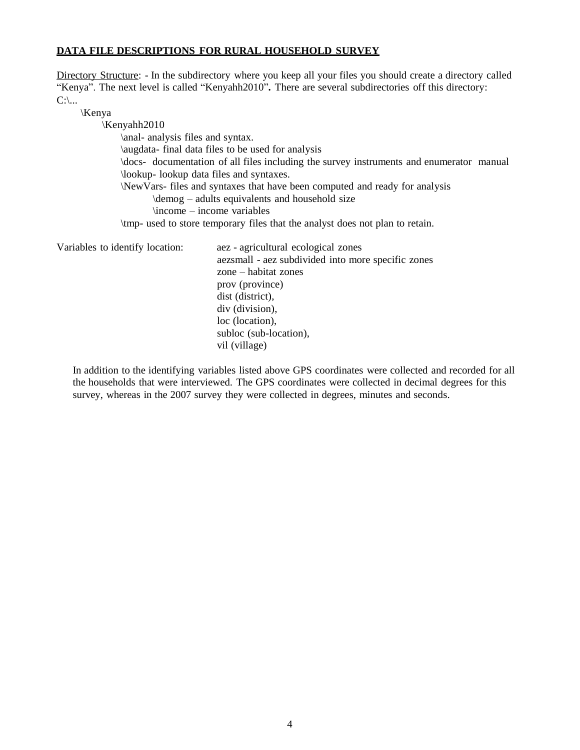#### **DATA FILE DESCRIPTIONS FOR RURAL HOUSEHOLD SURVEY**

Directory Structure: - In the subdirectory where you keep all your files you should create a directory called "Kenya". The next level is called "Kenyahh2010"**.** There are several subdirectories off this directory:  $C:\mathcal{L}$ ...

\Kenya

\Kenyahh2010 \anal- analysis files and syntax. \augdata- final data files to be used for analysis \docs- documentation of all files including the survey instruments and enumerator manual \lookup- lookup data files and syntaxes. \NewVars- files and syntaxes that have been computed and ready for analysis \demog – adults equivalents and household size  $\infty$  – income variables \tmp- used to store temporary files that the analyst does not plan to retain.

Variables to identify location: aez - agricultural ecological zones aezsmall - aez subdivided into more specific zones zone – habitat zones prov (province) dist (district), div (division), loc (location), subloc (sub-location), vil (village)

In addition to the identifying variables listed above GPS coordinates were collected and recorded for all the households that were interviewed. The GPS coordinates were collected in decimal degrees for this survey, whereas in the 2007 survey they were collected in degrees, minutes and seconds.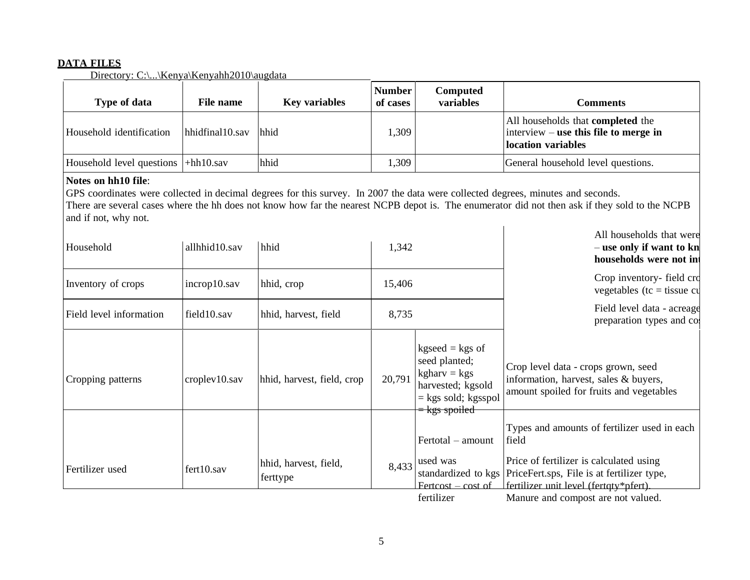### **DATA FILES**

Directory: C:\...\Kenya\Kenyahh2010\augdata

| Type of data                         | File name       | <b>Key variables</b> | Number<br>of cases | Computed<br>variables | Comments                                                                                                    |
|--------------------------------------|-----------------|----------------------|--------------------|-----------------------|-------------------------------------------------------------------------------------------------------------|
| Household identification             | hhidfinal10.sav | hhid                 | 1,309              |                       | All households that <b>completed</b> the<br>$ $ interview – use this file to merge in<br>location variables |
| Household level questions  +hh10.sav |                 | hhid                 | .,309              |                       | General household level questions.                                                                          |

## **Notes on hh10 file**:

GPS coordinates were collected in decimal degrees for this survey. In 2007 the data were collected degrees, minutes and seconds. There are several cases where the hh does not know how far the nearest NCPB depot is. The enumerator did not then ask if they sold to the NCPB and if not, why not.

| Household               | allhhid10.sav | hhid                              | 1,342  |                                                                                                                     | All households that were<br>– use only if want to kn<br>households were not in                                                                                           |  |                                                        |
|-------------------------|---------------|-----------------------------------|--------|---------------------------------------------------------------------------------------------------------------------|--------------------------------------------------------------------------------------------------------------------------------------------------------------------------|--|--------------------------------------------------------|
| Inventory of crops      | incrop10.sav  | hhid, crop                        | 15,406 |                                                                                                                     | Crop inventory- field cro<br>vegetables ( $tc = tissue$ cu                                                                                                               |  |                                                        |
| Field level information | field10.sav   | hhid, harvest, field              | 8,735  |                                                                                                                     |                                                                                                                                                                          |  | Field level data - acreage<br>preparation types and co |
| Cropping patterns       | croplev10.sav | hhid, harvest, field, crop        | 20,791 | $kgseed = kgs$ of<br>seed planted;<br>$kgharv = kgs$<br>harvested; kgsold<br>$=$ kgs sold; kgsspol<br>= kgs spoiled | Crop level data - crops grown, seed<br>information, harvest, sales & buyers,<br>amount spoiled for fruits and vegetables<br>Types and amounts of fertilizer used in each |  |                                                        |
| Fertilizer used         | fert10.sav    | hhid, harvest, field,<br>ferttype | 8,433  | Fertotal – amount<br>used was<br>$Fertcost - cost of$                                                               | field<br>Price of fertilizer is calculated using<br>standardized to kgs   PriceFert.sps, File is at fertilizer type,<br>fertilizer unit level (fertqty*pfert).           |  |                                                        |
|                         |               |                                   |        | fertilizer                                                                                                          | Manure and compost are not valued.                                                                                                                                       |  |                                                        |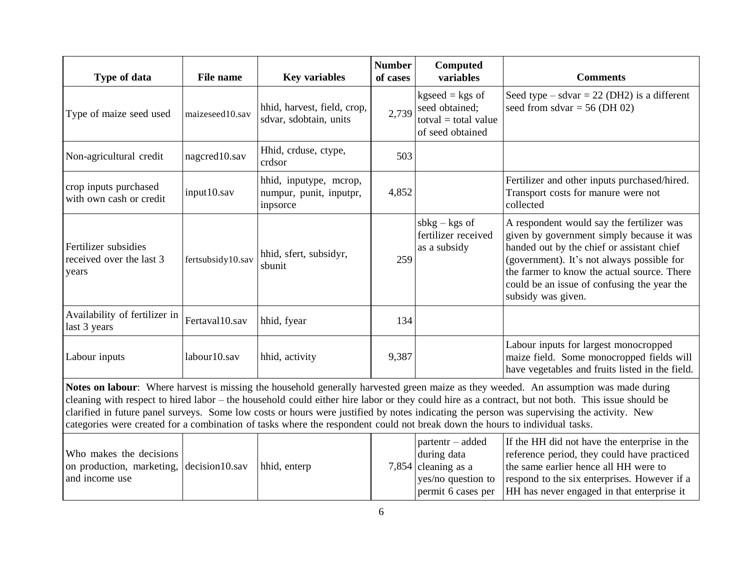| Type of data                                                                                                                                                                                                                                                                                                                                                                                                                                                                                                                                                            | <b>File name</b>  | <b>Key variables</b>                                          | <b>Number</b><br>of cases | Computed<br>variables                                                                              | <b>Comments</b>                                                                                                                                                                                                                                                                                        |  |
|-------------------------------------------------------------------------------------------------------------------------------------------------------------------------------------------------------------------------------------------------------------------------------------------------------------------------------------------------------------------------------------------------------------------------------------------------------------------------------------------------------------------------------------------------------------------------|-------------------|---------------------------------------------------------------|---------------------------|----------------------------------------------------------------------------------------------------|--------------------------------------------------------------------------------------------------------------------------------------------------------------------------------------------------------------------------------------------------------------------------------------------------------|--|
| Type of maize seed used                                                                                                                                                                                                                                                                                                                                                                                                                                                                                                                                                 | maizeseed10.sav   | hhid, harvest, field, crop,<br>sdvar, sdobtain, units         | 2,739                     | $kgseed = kgs$ of<br>seed obtained;<br>$\text{totval} = \text{total value}$<br>of seed obtained    | Seed type – sdvar = 22 (DH2) is a different<br>seed from sdvar $=$ 56 (DH 02)                                                                                                                                                                                                                          |  |
| Non-agricultural credit                                                                                                                                                                                                                                                                                                                                                                                                                                                                                                                                                 | nagcred10.sav     | Hhid, crduse, ctype,<br>crdsor                                | 503                       |                                                                                                    |                                                                                                                                                                                                                                                                                                        |  |
| crop inputs purchased<br>with own cash or credit                                                                                                                                                                                                                                                                                                                                                                                                                                                                                                                        | input10.sav       | hhid, inputype, mcrop,<br>numpur, punit, inputpr,<br>inpsorce | 4,852                     |                                                                                                    | Fertilizer and other inputs purchased/hired.<br>Transport costs for manure were not<br>collected                                                                                                                                                                                                       |  |
| Fertilizer subsidies<br>received over the last 3<br>years                                                                                                                                                                                                                                                                                                                                                                                                                                                                                                               | fertsubsidy10.sav | hhid, sfert, subsidyr,<br>sbunit                              | 259                       | $s b kg - kgs$ of<br>fertilizer received<br>as a subsidy                                           | A respondent would say the fertilizer was<br>given by government simply because it was<br>handed out by the chief or assistant chief<br>(government). It's not always possible for<br>the farmer to know the actual source. There<br>could be an issue of confusing the year the<br>subsidy was given. |  |
| Availability of fertilizer in<br>last 3 years                                                                                                                                                                                                                                                                                                                                                                                                                                                                                                                           | Fertaval10.sav    | hhid, fyear                                                   | 134                       |                                                                                                    |                                                                                                                                                                                                                                                                                                        |  |
| Labour inputs                                                                                                                                                                                                                                                                                                                                                                                                                                                                                                                                                           | labour10.sav      | hhid, activity                                                | 9,387                     |                                                                                                    | Labour inputs for largest monocropped<br>maize field. Some monocropped fields will<br>have vegetables and fruits listed in the field.                                                                                                                                                                  |  |
| Notes on labour: Where harvest is missing the household generally harvested green maize as they weeded. An assumption was made during<br>cleaning with respect to hired labor – the household could either hire labor or they could hire as a contract, but not both. This issue should be<br>clarified in future panel surveys. Some low costs or hours were justified by notes indicating the person was supervising the activity. New<br>categories were created for a combination of tasks where the respondent could not break down the hours to individual tasks. |                   |                                                               |                           |                                                                                                    |                                                                                                                                                                                                                                                                                                        |  |
| Who makes the decisions<br>on production, marketing,<br>and income use                                                                                                                                                                                                                                                                                                                                                                                                                                                                                                  | decision10.sav    | hhid, enterp                                                  |                           | partentr – added<br>during data<br>7,854 cleaning as a<br>yes/no question to<br>permit 6 cases per | If the HH did not have the enterprise in the<br>reference period, they could have practiced<br>the same earlier hence all HH were to<br>respond to the six enterprises. However if a<br>HH has never engaged in that enterprise it                                                                     |  |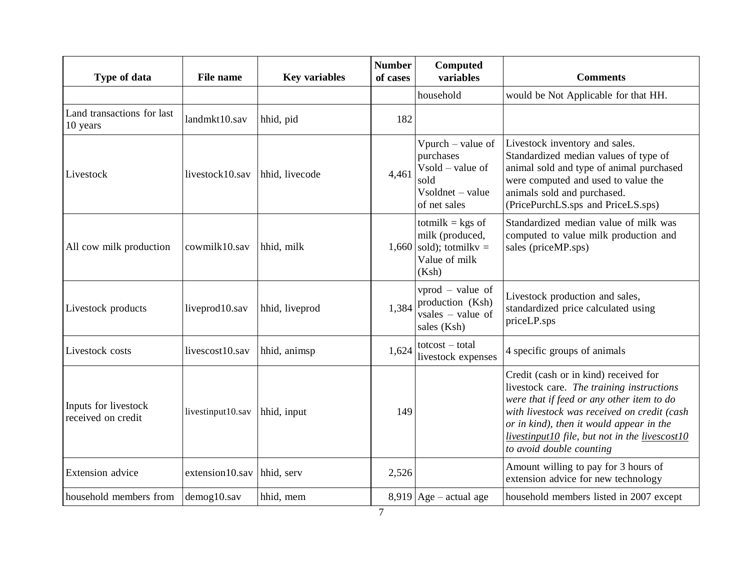| Type of data                               | File name         | <b>Key variables</b> | <b>Number</b><br>of cases | Computed<br>variables                                                                                             | <b>Comments</b>                                                                                                                                                                                                                                                                                          |
|--------------------------------------------|-------------------|----------------------|---------------------------|-------------------------------------------------------------------------------------------------------------------|----------------------------------------------------------------------------------------------------------------------------------------------------------------------------------------------------------------------------------------------------------------------------------------------------------|
|                                            |                   |                      |                           | household                                                                                                         | would be Not Applicable for that HH.                                                                                                                                                                                                                                                                     |
| Land transactions for last<br>10 years     | landmkt10.sav     | hhid, pid            | 182                       |                                                                                                                   |                                                                                                                                                                                                                                                                                                          |
| Livestock                                  | livestock10.sav   | hhid, livecode       | 4,461                     | Vpurch – value of<br>purchases<br>$V\text{ sold}$ – value of<br>sold<br>$V\text{soldnet}$ – value<br>of net sales | Livestock inventory and sales.<br>Standardized median values of type of<br>animal sold and type of animal purchased<br>were computed and used to value the<br>animals sold and purchased.<br>(PricePurchLS.sps and PriceLS.sps)                                                                          |
| All cow milk production                    | cowmilk10.sav     | hhid, milk           |                           | totmilk = $kgs$ of<br>milk (produced,<br>$1,660$ sold); totmilky =<br>Value of milk<br>(Ksh)                      | Standardized median value of milk was<br>computed to value milk production and<br>sales (priceMP.sps)                                                                                                                                                                                                    |
| Livestock products                         | liveprod10.sav    | hhid, liveprod       | 1,384                     | $vprod - value$ of<br>production (Ksh)<br>$vsales - value of$<br>sales (Ksh)                                      | Livestock production and sales,<br>standardized price calculated using<br>priceLP.sps                                                                                                                                                                                                                    |
| Livestock costs                            | livescost10.sav   | hhid, animsp         | 1,624                     | $totcost - total$<br>livestock expenses                                                                           | 4 specific groups of animals                                                                                                                                                                                                                                                                             |
| Inputs for livestock<br>received on credit | livestinput10.sav | hhid, input          | 149                       |                                                                                                                   | Credit (cash or in kind) received for<br>livestock care. The training instructions<br>were that if feed or any other item to do<br>with livestock was received on credit (cash<br>or in kind), then it would appear in the<br>livestinput10 file, but not in the livescost10<br>to avoid double counting |
| Extension advice                           | extension10.sav   | hhid, serv           | 2,526                     |                                                                                                                   | Amount willing to pay for 3 hours of<br>extension advice for new technology                                                                                                                                                                                                                              |
| household members from                     | demog10.sav       | hhid, mem            |                           | $8,919$ Age – actual age                                                                                          | household members listed in 2007 except                                                                                                                                                                                                                                                                  |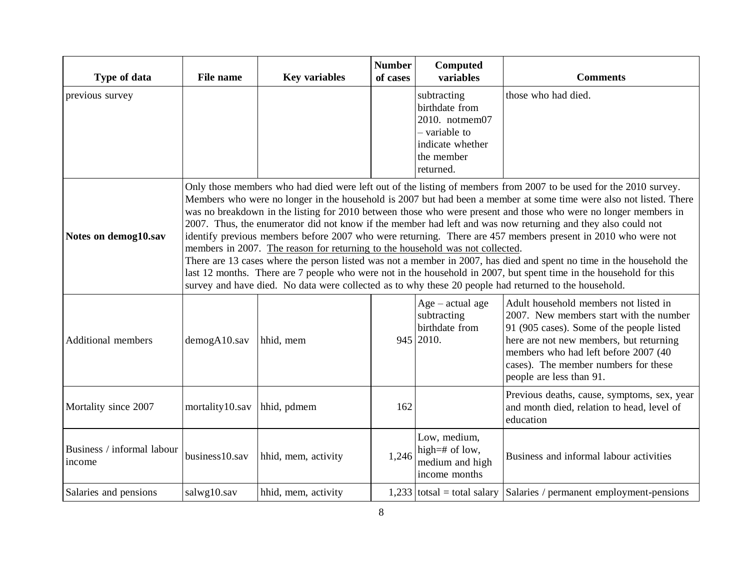| Type of data                         | <b>File name</b> | <b>Key variables</b>                                                                                                                                                                                                                                                                                                                                                                                                                                                                                                                                                                                                                                                                                                                                                                                                                                                                                                                                                                                                               | <b>Number</b><br>of cases | Computed<br>variables                                                                                           | <b>Comments</b>                                                                                                                                                                                                                                                                      |  |
|--------------------------------------|------------------|------------------------------------------------------------------------------------------------------------------------------------------------------------------------------------------------------------------------------------------------------------------------------------------------------------------------------------------------------------------------------------------------------------------------------------------------------------------------------------------------------------------------------------------------------------------------------------------------------------------------------------------------------------------------------------------------------------------------------------------------------------------------------------------------------------------------------------------------------------------------------------------------------------------------------------------------------------------------------------------------------------------------------------|---------------------------|-----------------------------------------------------------------------------------------------------------------|--------------------------------------------------------------------------------------------------------------------------------------------------------------------------------------------------------------------------------------------------------------------------------------|--|
| previous survey                      |                  |                                                                                                                                                                                                                                                                                                                                                                                                                                                                                                                                                                                                                                                                                                                                                                                                                                                                                                                                                                                                                                    |                           | subtracting<br>birthdate from<br>2010. notmem07<br>- variable to<br>indicate whether<br>the member<br>returned. | those who had died.                                                                                                                                                                                                                                                                  |  |
| Notes on demog10.sav                 |                  | Only those members who had died were left out of the listing of members from 2007 to be used for the 2010 survey.<br>Members who were no longer in the household is 2007 but had been a member at some time were also not listed. There<br>was no breakdown in the listing for 2010 between those who were present and those who were no longer members in<br>2007. Thus, the enumerator did not know if the member had left and was now returning and they also could not<br>identify previous members before 2007 who were returning. There are 457 members present in 2010 who were not<br>members in 2007. The reason for returning to the household was not collected.<br>There are 13 cases where the person listed was not a member in 2007, has died and spent no time in the household the<br>last 12 months. There are 7 people who were not in the household in 2007, but spent time in the household for this<br>survey and have died. No data were collected as to why these 20 people had returned to the household. |                           |                                                                                                                 |                                                                                                                                                                                                                                                                                      |  |
| <b>Additional members</b>            | demogA10.sav     | hhid, mem                                                                                                                                                                                                                                                                                                                                                                                                                                                                                                                                                                                                                                                                                                                                                                                                                                                                                                                                                                                                                          |                           | Age - actual age<br>subtracting<br>birthdate from<br>945 2010.                                                  | Adult household members not listed in<br>2007. New members start with the number<br>91 (905 cases). Some of the people listed<br>here are not new members, but returning<br>members who had left before 2007 (40<br>cases). The member numbers for these<br>people are less than 91. |  |
| Mortality since 2007                 | mortality10.sav  | hhid, pdmem                                                                                                                                                                                                                                                                                                                                                                                                                                                                                                                                                                                                                                                                                                                                                                                                                                                                                                                                                                                                                        | 162                       |                                                                                                                 | Previous deaths, cause, symptoms, sex, year<br>and month died, relation to head, level of<br>education                                                                                                                                                                               |  |
| Business / informal labour<br>income | business10.sav   | hhid, mem, activity                                                                                                                                                                                                                                                                                                                                                                                                                                                                                                                                                                                                                                                                                                                                                                                                                                                                                                                                                                                                                | 1,246                     | Low, medium,<br>high=# of low,<br>medium and high<br>income months                                              | Business and informal labour activities                                                                                                                                                                                                                                              |  |
| Salaries and pensions                | salwg10.sav      | hhid, mem, activity                                                                                                                                                                                                                                                                                                                                                                                                                                                                                                                                                                                                                                                                                                                                                                                                                                                                                                                                                                                                                |                           |                                                                                                                 | $1,233$ totsal = total salary Salaries / permanent employment-pensions                                                                                                                                                                                                               |  |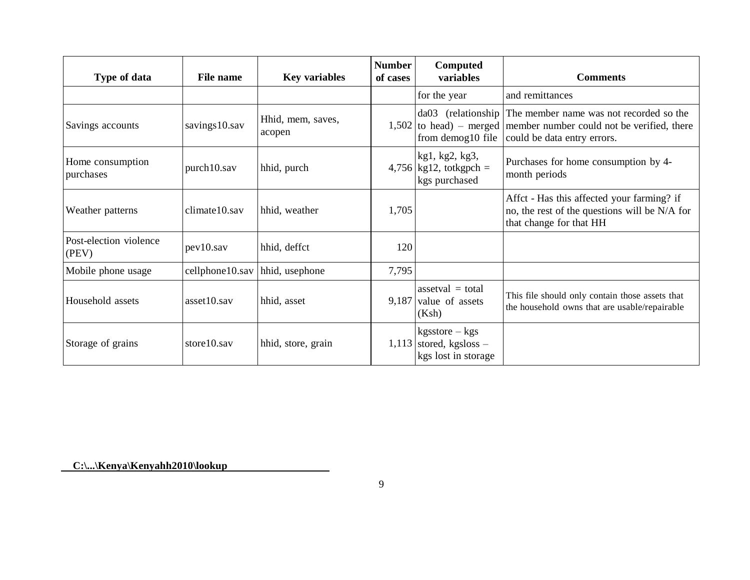| Type of data                    | File name       | <b>Key variables</b>        | <b>Number</b><br>of cases | Computed<br>variables                                                    | <b>Comments</b>                                                                                                                                                                     |
|---------------------------------|-----------------|-----------------------------|---------------------------|--------------------------------------------------------------------------|-------------------------------------------------------------------------------------------------------------------------------------------------------------------------------------|
|                                 |                 |                             |                           | for the year                                                             | and remittances                                                                                                                                                                     |
| Savings accounts                | savings10.sav   | Hhid, mem, saves,<br>acopen |                           |                                                                          | da03 (relationship The member name was not recorded so the<br>$1,502$ to head) – merged member number could not be verified, there<br>from demog10 file could be data entry errors. |
| Home consumption<br>purchases   | purch10.sav     | hhid, purch                 |                           | kg1, kg2, kg3,<br>$4,756$ kg12, totkgpch =<br>kgs purchased              | Purchases for home consumption by 4-<br>month periods                                                                                                                               |
| Weather patterns                | climate10.sav   | hhid, weather               | 1,705                     |                                                                          | Affect - Has this affected your farming? if<br>no, the rest of the questions will be N/A for<br>that change for that HH                                                             |
| Post-election violence<br>(PEV) | pev10.sav       | hhid, deffct                | 120                       |                                                                          |                                                                                                                                                                                     |
| Mobile phone usage              | cellphone10.sav | hhid, usephone              | 7,795                     |                                                                          |                                                                                                                                                                                     |
| Household assets                | $asset10$ .sav  | hhid, asset                 |                           | assetval $=$ total<br>$9,187$ value of assets<br>(Ksh)                   | This file should only contain those assets that<br>the household owns that are usable/repairable                                                                                    |
| Storage of grains               | store 10. say   | hhid, store, grain          |                           | $k$ gsstore – $k$ gs<br>$1,113$ stored, kgsloss –<br>kgs lost in storage |                                                                                                                                                                                     |

**C:\...\Kenya\Kenyahh2010\lookup**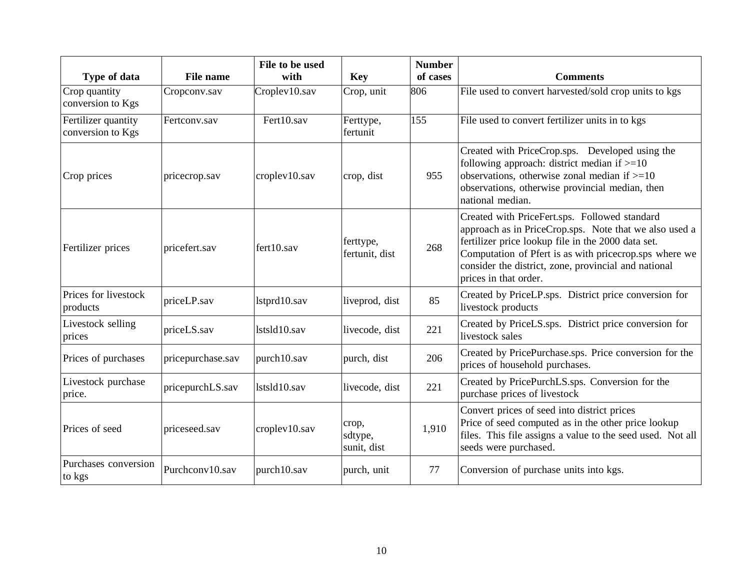| Type of data                             | <b>File name</b>  | File to be used<br>with | <b>Key</b>                      | <b>Number</b><br>of cases | <b>Comments</b>                                                                                                                                                                                                                                                                                          |
|------------------------------------------|-------------------|-------------------------|---------------------------------|---------------------------|----------------------------------------------------------------------------------------------------------------------------------------------------------------------------------------------------------------------------------------------------------------------------------------------------------|
| Crop quantity<br>conversion to Kgs       | Cropconv.sav      | Croplev10.sav           | Crop, unit                      | 806                       | File used to convert harvested/sold crop units to kgs                                                                                                                                                                                                                                                    |
| Fertilizer quantity<br>conversion to Kgs | Fertconv.sav      | Fert10.sav              | Ferttype,<br>fertunit           | 155                       | File used to convert fertilizer units in to kgs                                                                                                                                                                                                                                                          |
| Crop prices                              | pricecrop.sav     | croplev10.sav           | crop, dist                      | 955                       | Created with PriceCrop.sps. Developed using the<br>following approach: district median if $>=10$<br>observations, otherwise zonal median if $>=10$<br>observations, otherwise provincial median, then<br>national median.                                                                                |
| Fertilizer prices                        | pricefert.sav     | fert10.sav              | ferttype,<br>fertunit, dist     | 268                       | Created with PriceFert.sps. Followed standard<br>approach as in PriceCrop.sps. Note that we also used a<br>fertilizer price lookup file in the 2000 data set.<br>Computation of Pfert is as with pricecrop.sps where we<br>consider the district, zone, provincial and national<br>prices in that order. |
| Prices for livestock<br>products         | priceLP.sav       | lstprd10.sav            | liveprod, dist                  | 85                        | Created by PriceLP.sps. District price conversion for<br>livestock products                                                                                                                                                                                                                              |
| Livestock selling<br>prices              | priceLS.sav       | lstsld10.sav            | livecode, dist                  | 221                       | Created by PriceLS.sps. District price conversion for<br>livestock sales                                                                                                                                                                                                                                 |
| Prices of purchases                      | pricepurchase.sav | purch10.sav             | purch, dist                     | 206                       | Created by PricePurchase.sps. Price conversion for the<br>prices of household purchases.                                                                                                                                                                                                                 |
| Livestock purchase<br>price.             | pricepurchLS.sav  | lstsld10.sav            | livecode, dist                  | 221                       | Created by PricePurchLS.sps. Conversion for the<br>purchase prices of livestock                                                                                                                                                                                                                          |
| Prices of seed                           | priceseed.sav     | croplev10.sav           | crop,<br>sdtype,<br>sunit, dist | 1,910                     | Convert prices of seed into district prices<br>Price of seed computed as in the other price lookup<br>files. This file assigns a value to the seed used. Not all<br>seeds were purchased.                                                                                                                |
| Purchases conversion<br>to kgs           | Purchconv10.sav   | purch10.sav             | purch, unit                     | 77                        | Conversion of purchase units into kgs.                                                                                                                                                                                                                                                                   |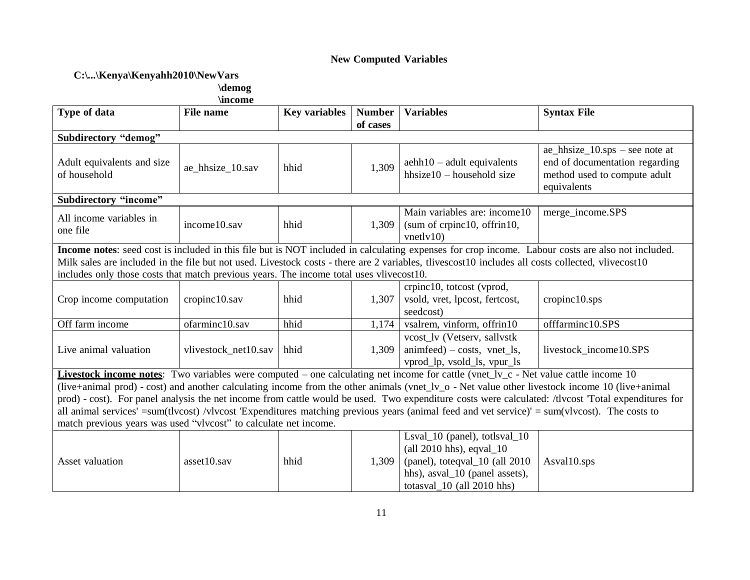## **New Computed Variables**

# **C:\...\Kenya\Kenyahh2010\NewVars**

**\demog**

| Type of data                                                                                                                                        | File name            | <b>Key variables</b> | <b>Number</b> | <b>Variables</b>                                                                                                                                                                     | <b>Syntax File</b>                                                                                                               |  |  |
|-----------------------------------------------------------------------------------------------------------------------------------------------------|----------------------|----------------------|---------------|--------------------------------------------------------------------------------------------------------------------------------------------------------------------------------------|----------------------------------------------------------------------------------------------------------------------------------|--|--|
|                                                                                                                                                     |                      |                      | of cases      |                                                                                                                                                                                      |                                                                                                                                  |  |  |
| <b>Subdirectory "demog"</b>                                                                                                                         |                      |                      |               |                                                                                                                                                                                      |                                                                                                                                  |  |  |
| Adult equivalents and size<br>of household                                                                                                          | ae_hhsize_10.sav     | hhid                 | 1,309         | $a$ ehh $10 - a$ dult equivalents<br>hhsize $10$ – household size                                                                                                                    | $ae_{hsize_10.}$ ae_hhsize_10.sps – see note at<br>end of documentation regarding<br>method used to compute adult<br>equivalents |  |  |
| Subdirectory "income"                                                                                                                               |                      |                      |               |                                                                                                                                                                                      |                                                                                                                                  |  |  |
| All income variables in<br>one file                                                                                                                 | income10.sav         | hhid                 | 1,309         | Main variables are: income10<br>(sum of crpinc10, offrin10,<br>vnetlv10                                                                                                              | merge_income.SPS                                                                                                                 |  |  |
|                                                                                                                                                     |                      |                      |               | Income notes: seed cost is included in this file but is NOT included in calculating expenses for crop income. Labour costs are also not included.                                    |                                                                                                                                  |  |  |
|                                                                                                                                                     |                      |                      |               | Milk sales are included in the file but not used. Livestock costs - there are 2 variables, tlivescost10 includes all costs collected, vlivecost10                                    |                                                                                                                                  |  |  |
| includes only those costs that match previous years. The income total uses vlivecost10.                                                             |                      |                      |               |                                                                                                                                                                                      |                                                                                                                                  |  |  |
| Crop income computation                                                                                                                             | cropinc10.sav        | hhid                 | 1,307         | crpinc10, totcost (vprod,<br>vsold, vret, lpcost, fertcost,<br>seedcost)                                                                                                             | cropinc10.sys                                                                                                                    |  |  |
| Off farm income                                                                                                                                     | ofarminc10.sav       | hhid                 | 1,174         | vsalrem, vinform, offrin10                                                                                                                                                           | offfarminc10.SPS                                                                                                                 |  |  |
| Live animal valuation                                                                                                                               | vlivestock_net10.sav | hhid                 | 1,309         | vcost lv (Vetserv, sallystk<br>animfeed) – costs, vnet ls,<br>vprod_lp, vsold_ls, vpur_ls                                                                                            | livestock_income10.SPS                                                                                                           |  |  |
|                                                                                                                                                     |                      |                      |               | Livestock income notes: Two variables were computed – one calculating net income for cattle (vnet_lv_c - Net value cattle income 10                                                  |                                                                                                                                  |  |  |
| (live+animal prod) - cost) and another calculating income from the other animals (vnet_lv_o - Net value other livestock income 10 (live+animal      |                      |                      |               |                                                                                                                                                                                      |                                                                                                                                  |  |  |
| prod) - cost). For panel analysis the net income from cattle would be used. Two expenditure costs were calculated: /tlvcost 'Total expenditures for |                      |                      |               |                                                                                                                                                                                      |                                                                                                                                  |  |  |
| all animal services' =sum(tlvcost) /vlvcost 'Expenditures matching previous years (animal feed and vet service)' = sum(vlvcost). The costs to       |                      |                      |               |                                                                                                                                                                                      |                                                                                                                                  |  |  |
| match previous years was used "vlvcost" to calculate net income.                                                                                    |                      |                      |               |                                                                                                                                                                                      |                                                                                                                                  |  |  |
| Asset valuation                                                                                                                                     | asset10.sav          | hhid                 | 1,309         | Lsval_10 (panel), totlsval_10<br>$\text{(all 2010 hhs)}$ , eqval $\text{\_10}$<br>(panel), toteqval_10 (all 2010<br>hhs), asval_10 (panel assets),<br>totasval $\_10$ (all 2010 hhs) | Asval10.sps                                                                                                                      |  |  |